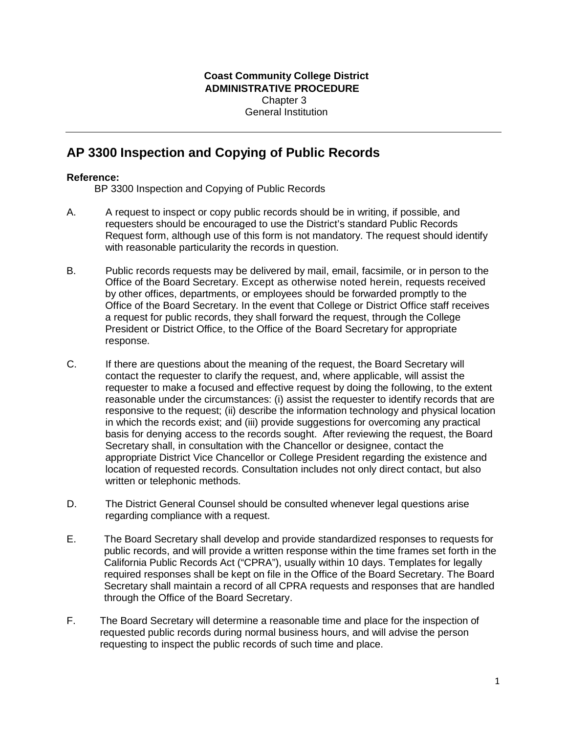## **AP 3300 Inspection and Copying of Public Records**

## **Reference:**

BP 3300 Inspection and Copying of Public Records

- A. A request to inspect or copy public records should be in writing, if possible, and requesters should be encouraged to use the District's standard Public Records Request form, although use of this form is not mandatory. The request should identify with reasonable particularity the records in question.
- B. Public records requests may be delivered by mail, email, facsimile, or in person to the Office of the Board Secretary. Except as otherwise noted herein, requests received by other offices, departments, or employees should be forwarded promptly to the Office of the Board Secretary. In the event that College or District Office staff receives a request for public records, they shall forward the request, through the College President or District Office, to the Office of the Board Secretary for appropriate response.
- C. If there are questions about the meaning of the request, the Board Secretary will contact the requester to clarify the request, and, where applicable, will assist the requester to make a focused and effective request by doing the following, to the extent reasonable under the circumstances: (i) assist the requester to identify records that are responsive to the request; (ii) describe the information technology and physical location in which the records exist; and (iii) provide suggestions for overcoming any practical basis for denying access to the records sought. After reviewing the request, the Board Secretary shall, in consultation with the Chancellor or designee, contact the appropriate District Vice Chancellor or College President regarding the existence and location of requested records. Consultation includes not only direct contact, but also written or telephonic methods.
- D. The District General Counsel should be consulted whenever legal questions arise regarding compliance with a request.
- E. The Board Secretary shall develop and provide standardized responses to requests for public records, and will provide a written response within the time frames set forth in the California Public Records Act ("CPRA"), usually within 10 days. Templates for legally required responses shall be kept on file in the Office of the Board Secretary. The Board Secretary shall maintain a record of all CPRA requests and responses that are handled through the Office of the Board Secretary.
- F. The Board Secretary will determine a reasonable time and place for the inspection of requested public records during normal business hours, and will advise the person requesting to inspect the public records of such time and place.